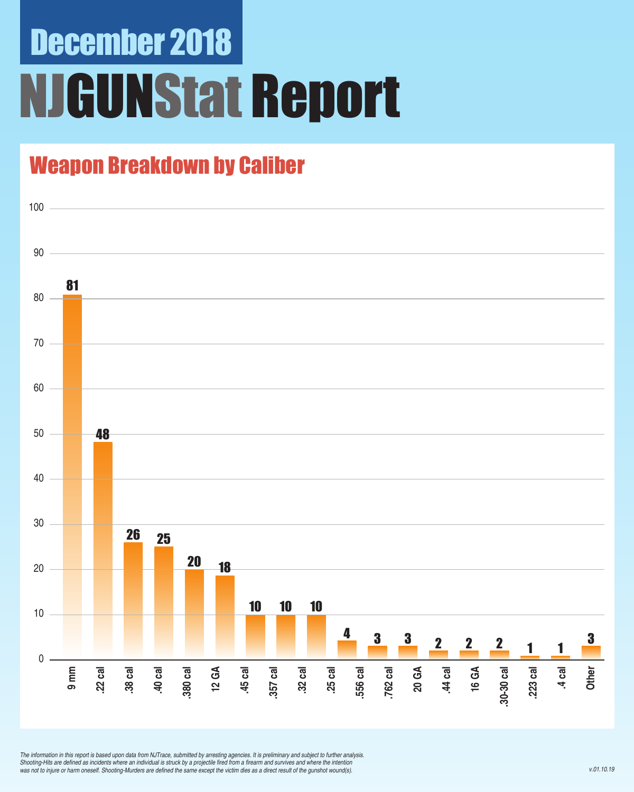# December 2018 NJGUNStat Report

### Weapon Breakdown by Caliber



*The information in this report is based upon data from NJTrace, submitted by arresting agencies. It is preliminary and subject to further analysis.*  Shooting-Hits are defined as incidents where an individual is struck by a projectile fired from a firearm and survives and where the intention was not to injure or harm oneself. Shooting-Murders are defined the same except the victim dies as a direct result of the gunshot wound(s).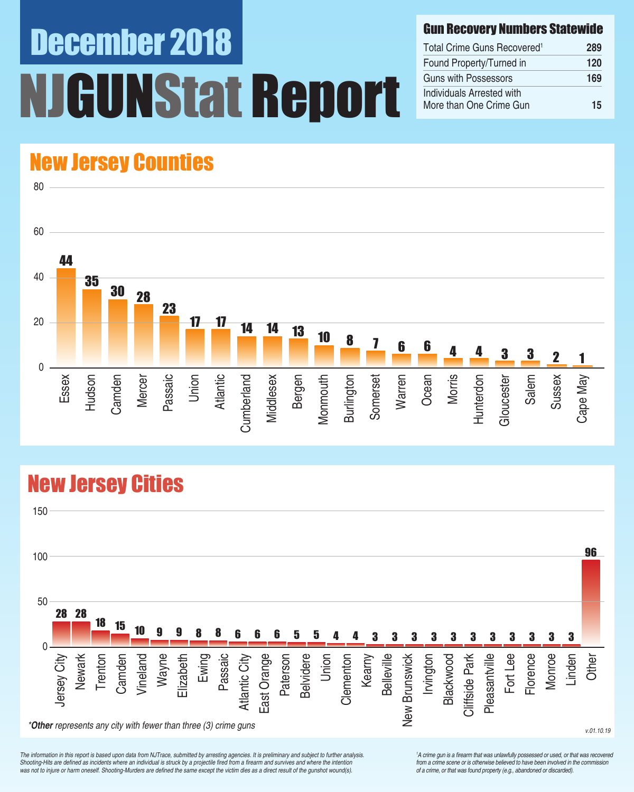# December 2018 UNStat Report

#### Gun Recovery Numbers Statewide

| Total Crime Guns Recovered <sup>1</sup>              | 289 |
|------------------------------------------------------|-----|
| Found Property/Turned in                             | 120 |
| Guns with Possessors                                 | 169 |
| Individuals Arrested with<br>More than One Crime Gun | 15  |

### New Jersey Counties



### New Jersey Cities



*The information in this report is based upon data from NJTrace, submitted by arresting agencies. It is preliminary and subject to further analysis.*  Shooting-Hits are defined as incidents where an individual is struck by a projectile fired from a firearm and survives and where the intention was not to injure or harm oneself. Shooting-Murders are defined the same except the victim dies as a direct result of the gunshot wound(s).

<sup>1</sup>A crime gun is a firearm that was unlawfully possessed or used, or that was recovered from a crime scene or is otherwise believed to have been involved in the commission of a crime, or that was found property (e.g., abandoned or discarded).